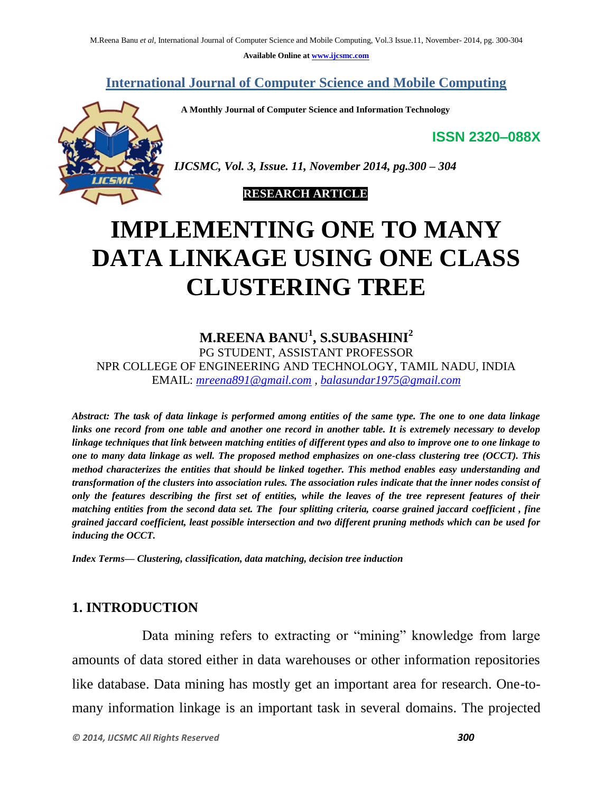**Available Online at [www.ijcsmc.com](http://www.ijcsmc.com/)**

#### **International Journal of Computer Science and Mobile Computing**

 **A Monthly Journal of Computer Science and Information Technology**

**ISSN 2320–088X**



*IJCSMC, Vol. 3, Issue. 11, November 2014, pg.300 – 304*

#### **RESEARCH ARTICLE**

# **IMPLEMENTING ONE TO MANY DATA LINKAGE USING ONE CLASS CLUSTERING TREE**

# **M.REENA BANU<sup>1</sup> , S.SUBASHINI<sup>2</sup>**

PG STUDENT, ASSISTANT PROFESSOR NPR COLLEGE OF ENGINEERING AND TECHNOLOGY, TAMIL NADU, INDIA EMAIL: *[mreena891@gmail.com](mailto:mreena891@gmail.com) , [balasundar1975@gmail.com](mailto:balasundar1975@gmail.com)*

*Abstract: The task of data linkage is performed among entities of the same type. The one to one data linkage links one record from one table and another one record in another table. It is extremely necessary to develop linkage techniques that link between matching entities of different types and also to improve one to one linkage to one to many data linkage as well. The proposed method emphasizes on one-class clustering tree (OCCT). This method characterizes the entities that should be linked together. This method enables easy understanding and transformation of the clusters into association rules. The association rules indicate that the inner nodes consist of only the features describing the first set of entities, while the leaves of the tree represent features of their matching entities from the second data set. The four splitting criteria, coarse grained jaccard coefficient , fine grained jaccard coefficient, least possible intersection and two different pruning methods which can be used for inducing the OCCT.*

*Index Terms— Clustering, classification, data matching, decision tree induction*

## **1. INTRODUCTION**

 Data mining refers to extracting or "mining" knowledge from large amounts of data stored either in data warehouses or other information repositories like database. Data mining has mostly get an important area for research. One-tomany information linkage is an important task in several domains. The projected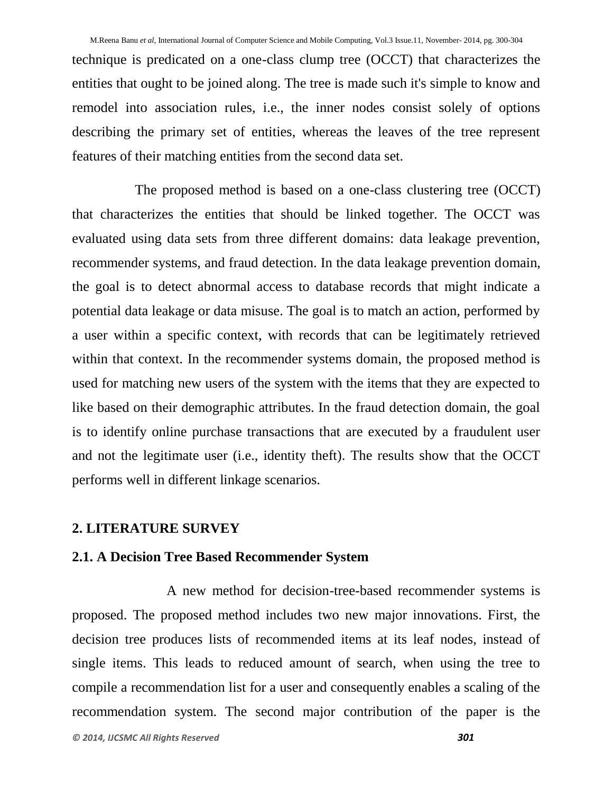technique is predicated on a one-class clump tree (OCCT) that characterizes the entities that ought to be joined along. The tree is made such it's simple to know and remodel into association rules, i.e., the inner nodes consist solely of options describing the primary set of entities, whereas the leaves of the tree represent features of their matching entities from the second data set.

 The proposed method is based on a one-class clustering tree (OCCT) that characterizes the entities that should be linked together. The OCCT was evaluated using data sets from three different domains: data leakage prevention, recommender systems, and fraud detection. In the data leakage prevention domain, the goal is to detect abnormal access to database records that might indicate a potential data leakage or data misuse. The goal is to match an action, performed by a user within a specific context, with records that can be legitimately retrieved within that context. In the recommender systems domain, the proposed method is used for matching new users of the system with the items that they are expected to like based on their demographic attributes. In the fraud detection domain, the goal is to identify online purchase transactions that are executed by a fraudulent user and not the legitimate user (i.e., identity theft). The results show that the OCCT performs well in different linkage scenarios.

#### **2. LITERATURE SURVEY**

## **2.1. A Decision Tree Based Recommender System**

 A new method for decision-tree-based recommender systems is proposed. The proposed method includes two new major innovations. First, the decision tree produces lists of recommended items at its leaf nodes, instead of single items. This leads to reduced amount of search, when using the tree to compile a recommendation list for a user and consequently enables a scaling of the recommendation system. The second major contribution of the paper is the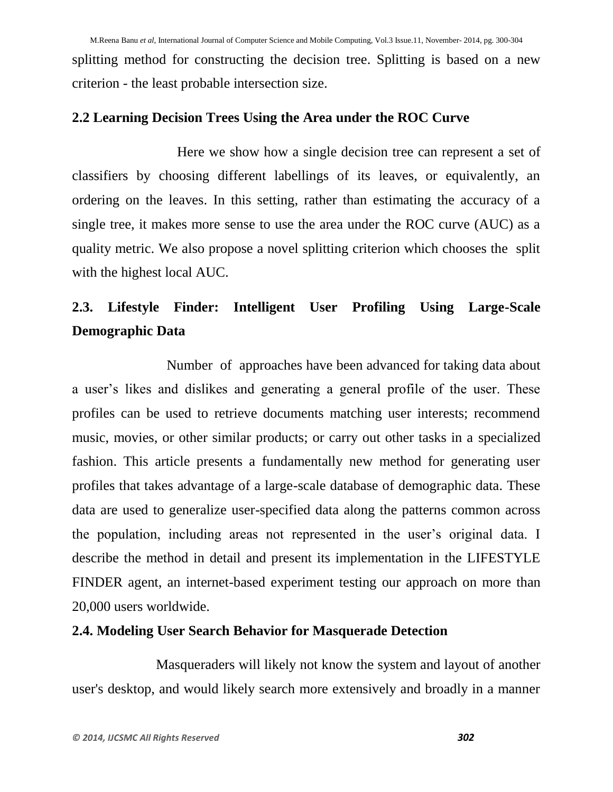splitting method for constructing the decision tree. Splitting is based on a new criterion - the least probable intersection size.

## **2.2 Learning Decision Trees Using the Area under the ROC Curve**

 Here we show how a single decision tree can represent a set of classifiers by choosing different labellings of its leaves, or equivalently, an ordering on the leaves. In this setting, rather than estimating the accuracy of a single tree, it makes more sense to use the area under the ROC curve (AUC) as a quality metric. We also propose a novel splitting criterion which chooses the split with the highest local AUC.

# **2.3. Lifestyle Finder: Intelligent User Profiling Using Large-Scale Demographic Data**

 Number of approaches have been advanced for taking data about a user's likes and dislikes and generating a general profile of the user. These profiles can be used to retrieve documents matching user interests; recommend music, movies, or other similar products; or carry out other tasks in a specialized fashion. This article presents a fundamentally new method for generating user profiles that takes advantage of a large-scale database of demographic data. These data are used to generalize user-specified data along the patterns common across the population, including areas not represented in the user's original data. I describe the method in detail and present its implementation in the LIFESTYLE FINDER agent, an internet-based experiment testing our approach on more than 20,000 users worldwide.

## **2.4. Modeling User Search Behavior for Masquerade Detection**

 Masqueraders will likely not know the system and layout of another user's desktop, and would likely search more extensively and broadly in a manner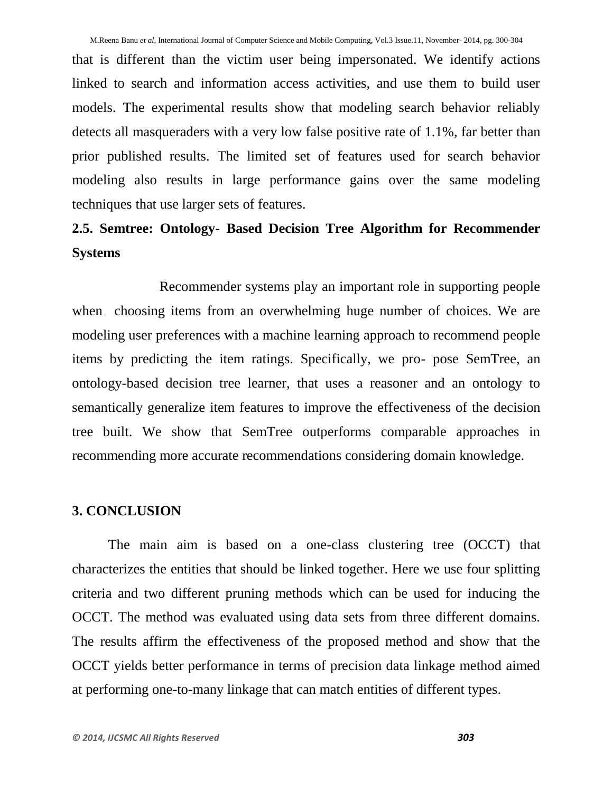that is different than the victim user being impersonated. We identify actions linked to search and information access activities, and use them to build user models. The experimental results show that modeling search behavior reliably detects all masqueraders with a very low false positive rate of 1.1%, far better than prior published results. The limited set of features used for search behavior modeling also results in large performance gains over the same modeling techniques that use larger sets of features.

# **2.5. Semtree: Ontology- Based Decision Tree Algorithm for Recommender Systems**

 Recommender systems play an important role in supporting people when choosing items from an overwhelming huge number of choices. We are modeling user preferences with a machine learning approach to recommend people items by predicting the item ratings. Specifically, we pro- pose SemTree, an ontology-based decision tree learner, that uses a reasoner and an ontology to semantically generalize item features to improve the effectiveness of the decision tree built. We show that SemTree outperforms comparable approaches in recommending more accurate recommendations considering domain knowledge.

#### **3. CONCLUSION**

The main aim is based on a one-class clustering tree (OCCT) that characterizes the entities that should be linked together. Here we use four splitting criteria and two different pruning methods which can be used for inducing the OCCT. The method was evaluated using data sets from three different domains. The results affirm the effectiveness of the proposed method and show that the OCCT yields better performance in terms of precision data linkage method aimed at performing one-to-many linkage that can match entities of different types.